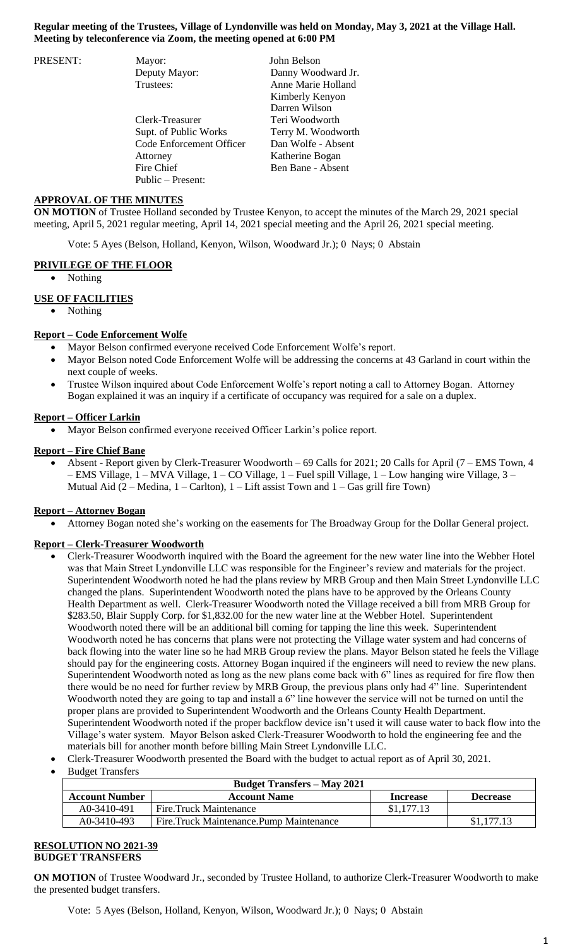## **Regular meeting of the Trustees, Village of Lyndonville was held on Monday, May 3, 2021 at the Village Hall. Meeting by teleconference via Zoom, the meeting opened at 6:00 PM**

| PRESENT: | Mayor:                   | John Belson        |
|----------|--------------------------|--------------------|
|          | Deputy Mayor:            | Danny Woodward Jr. |
|          | Trustees:                | Anne Marie Holland |
|          |                          | Kimberly Kenyon    |
|          |                          | Darren Wilson      |
|          | Clerk-Treasurer          | Teri Woodworth     |
|          | Supt. of Public Works    | Terry M. Woodworth |
|          | Code Enforcement Officer | Dan Wolfe - Absent |
|          | Attorney                 | Katherine Bogan    |
|          | Fire Chief               | Ben Bane - Absent  |
|          | Public – Present:        |                    |

### **APPROVAL OF THE MINUTES**

**ON MOTION** of Trustee Holland seconded by Trustee Kenyon, to accept the minutes of the March 29, 2021 special meeting, April 5, 2021 regular meeting, April 14, 2021 special meeting and the April 26, 2021 special meeting.

Vote: 5 Ayes (Belson, Holland, Kenyon, Wilson, Woodward Jr.); 0 Nays; 0 Abstain

#### **PRIVILEGE OF THE FLOOR**

Nothing

## **USE OF FACILITIES**

Nothing

#### **Report – Code Enforcement Wolfe**

- Mayor Belson confirmed everyone received Code Enforcement Wolfe's report.
- Mayor Belson noted Code Enforcement Wolfe will be addressing the concerns at 43 Garland in court within the next couple of weeks.
- Trustee Wilson inquired about Code Enforcement Wolfe's report noting a call to Attorney Bogan. Attorney Bogan explained it was an inquiry if a certificate of occupancy was required for a sale on a duplex.

## **Report – Officer Larkin**

Mayor Belson confirmed everyone received Officer Larkin's police report.

#### **Report – Fire Chief Bane**

 Absent - Report given by Clerk-Treasurer Woodworth – 69 Calls for 2021; 20 Calls for April (7 – EMS Town, 4 – EMS Village, 1 – MVA Village, 1 – CO Village, 1 – Fuel spill Village, 1 – Low hanging wire Village, 3 – Mutual Aid  $(2 - Median, 1 - Carton)$ ,  $1 - Lift$  assist Town and  $1 - Gas$  grill fire Town)

#### **Report – Attorney Bogan**

Attorney Bogan noted she's working on the easements for The Broadway Group for the Dollar General project.

#### **Report – Clerk-Treasurer Woodworth**

- Clerk-Treasurer Woodworth inquired with the Board the agreement for the new water line into the Webber Hotel was that Main Street Lyndonville LLC was responsible for the Engineer's review and materials for the project. Superintendent Woodworth noted he had the plans review by MRB Group and then Main Street Lyndonville LLC changed the plans. Superintendent Woodworth noted the plans have to be approved by the Orleans County Health Department as well. Clerk-Treasurer Woodworth noted the Village received a bill from MRB Group for \$283.50, Blair Supply Corp. for \$1,832.00 for the new water line at the Webber Hotel. Superintendent Woodworth noted there will be an additional bill coming for tapping the line this week. Superintendent Woodworth noted he has concerns that plans were not protecting the Village water system and had concerns of back flowing into the water line so he had MRB Group review the plans. Mayor Belson stated he feels the Village should pay for the engineering costs. Attorney Bogan inquired if the engineers will need to review the new plans. Superintendent Woodworth noted as long as the new plans come back with 6" lines as required for fire flow then there would be no need for further review by MRB Group, the previous plans only had 4" line. Superintendent Woodworth noted they are going to tap and install a 6" line however the service will not be turned on until the proper plans are provided to Superintendent Woodworth and the Orleans County Health Department. Superintendent Woodworth noted if the proper backflow device isn't used it will cause water to back flow into the Village's water system. Mayor Belson asked Clerk-Treasurer Woodworth to hold the engineering fee and the materials bill for another month before billing Main Street Lyndonville LLC.
- Clerk-Treasurer Woodworth presented the Board with the budget to actual report as of April 30, 2021.
- Budget Transfers

| <b>Budget Transfers – May 2021</b> |                                         |                 |                 |  |  |
|------------------------------------|-----------------------------------------|-----------------|-----------------|--|--|
| <b>Account Number</b>              | <b>Account Name</b>                     | <b>Increase</b> | <b>Decrease</b> |  |  |
| A0-3410-491                        | Fire Truck Maintenance                  | \$1,177.13      |                 |  |  |
| A0-3410-493                        | Fire.Truck Maintenance.Pump Maintenance |                 | \$1,177,13      |  |  |

#### **RESOLUTION NO 2021-39 BUDGET TRANSFERS**

**ON MOTION** of Trustee Woodward Jr., seconded by Trustee Holland, to authorize Clerk-Treasurer Woodworth to make the presented budget transfers.

Vote: 5 Ayes (Belson, Holland, Kenyon, Wilson, Woodward Jr.); 0 Nays; 0 Abstain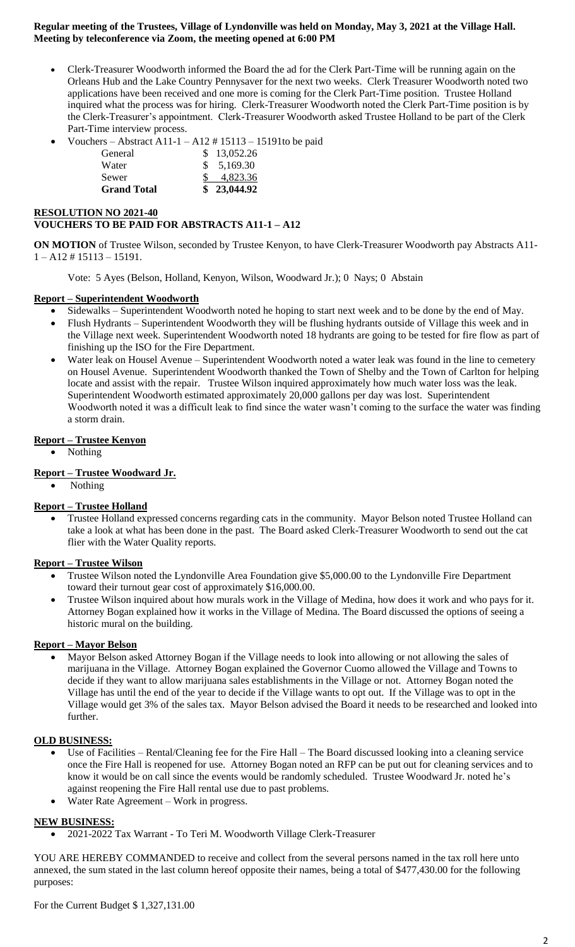## **Regular meeting of the Trustees, Village of Lyndonville was held on Monday, May 3, 2021 at the Village Hall. Meeting by teleconference via Zoom, the meeting opened at 6:00 PM**

- Clerk-Treasurer Woodworth informed the Board the ad for the Clerk Part-Time will be running again on the Orleans Hub and the Lake Country Pennysaver for the next two weeks. Clerk Treasurer Woodworth noted two applications have been received and one more is coming for the Clerk Part-Time position. Trustee Holland inquired what the process was for hiring. Clerk-Treasurer Woodworth noted the Clerk Part-Time position is by the Clerk-Treasurer's appointment. Clerk-Treasurer Woodworth asked Trustee Holland to be part of the Clerk Part-Time interview process.
- Vouchers Abstract A11-1 A12 # 15113 15191to be paid

| <b>Grand Total</b> | 23,044.92   |
|--------------------|-------------|
| Sewer              | 4,823.36    |
| Water              | \$5,169.30  |
| General            | \$13,052.26 |

# **RESOLUTION NO 2021-40 VOUCHERS TO BE PAID FOR ABSTRACTS A11-1 – A12**

**ON MOTION** of Trustee Wilson, seconded by Trustee Kenyon, to have Clerk-Treasurer Woodworth pay Abstracts A11- 1 – A12 # 15113 – 15191.

Vote: 5 Ayes (Belson, Holland, Kenyon, Wilson, Woodward Jr.); 0 Nays; 0 Abstain

## **Report – Superintendent Woodworth**

- Sidewalks Superintendent Woodworth noted he hoping to start next week and to be done by the end of May.
- Flush Hydrants Superintendent Woodworth they will be flushing hydrants outside of Village this week and in the Village next week. Superintendent Woodworth noted 18 hydrants are going to be tested for fire flow as part of finishing up the ISO for the Fire Department.
- Water leak on Housel Avenue Superintendent Woodworth noted a water leak was found in the line to cemetery on Housel Avenue. Superintendent Woodworth thanked the Town of Shelby and the Town of Carlton for helping locate and assist with the repair. Trustee Wilson inquired approximately how much water loss was the leak. Superintendent Woodworth estimated approximately 20,000 gallons per day was lost. Superintendent Woodworth noted it was a difficult leak to find since the water wasn't coming to the surface the water was finding a storm drain.

## **Report – Trustee Kenyon**

Nothing

# **Report – Trustee Woodward Jr.**

Nothing

## **Report – Trustee Holland**

 Trustee Holland expressed concerns regarding cats in the community. Mayor Belson noted Trustee Holland can take a look at what has been done in the past. The Board asked Clerk-Treasurer Woodworth to send out the cat flier with the Water Quality reports.

#### **Report – Trustee Wilson**

- Trustee Wilson noted the Lyndonville Area Foundation give \$5,000.00 to the Lyndonville Fire Department toward their turnout gear cost of approximately \$16,000.00.
- Trustee Wilson inquired about how murals work in the Village of Medina, how does it work and who pays for it. Attorney Bogan explained how it works in the Village of Medina. The Board discussed the options of seeing a historic mural on the building.

#### **Report – Mayor Belson**

 Mayor Belson asked Attorney Bogan if the Village needs to look into allowing or not allowing the sales of marijuana in the Village. Attorney Bogan explained the Governor Cuomo allowed the Village and Towns to decide if they want to allow marijuana sales establishments in the Village or not. Attorney Bogan noted the Village has until the end of the year to decide if the Village wants to opt out. If the Village was to opt in the Village would get 3% of the sales tax. Mayor Belson advised the Board it needs to be researched and looked into further.

#### **OLD BUSINESS:**

- Use of Facilities Rental/Cleaning fee for the Fire Hall The Board discussed looking into a cleaning service once the Fire Hall is reopened for use. Attorney Bogan noted an RFP can be put out for cleaning services and to know it would be on call since the events would be randomly scheduled. Trustee Woodward Jr. noted he's against reopening the Fire Hall rental use due to past problems.
- Water Rate Agreement Work in progress.

## **NEW BUSINESS:**

2021-2022 Tax Warrant - To Teri M. Woodworth Village Clerk-Treasurer

YOU ARE HEREBY COMMANDED to receive and collect from the several persons named in the tax roll here unto annexed, the sum stated in the last column hereof opposite their names, being a total of \$477,430.00 for the following purposes: